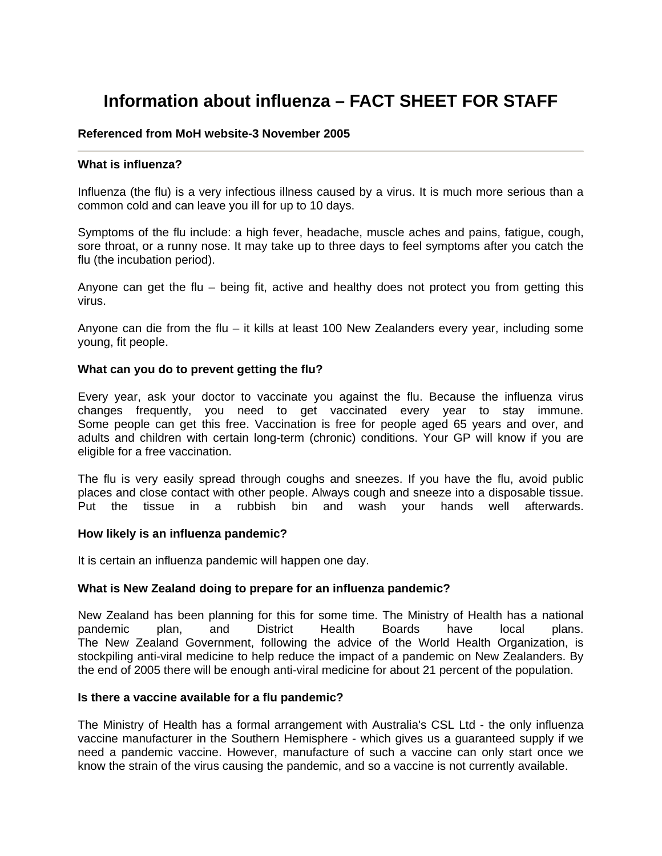# **Information about influenza – FACT SHEET FOR STAFF**

# **Referenced from MoH website-3 November 2005**

# **What is influenza?**

Influenza (the flu) is a very infectious illness caused by a virus. It is much more serious than a common cold and can leave you ill for up to 10 days.

Symptoms of the flu include: a high fever, headache, muscle aches and pains, fatigue, cough, sore throat, or a runny nose. It may take up to three days to feel symptoms after you catch the flu (the incubation period).

Anyone can get the flu – being fit, active and healthy does not protect you from getting this virus.

Anyone can die from the flu – it kills at least 100 New Zealanders every year, including some young, fit people.

#### **What can you do to prevent getting the flu?**

Every year, ask your doctor to vaccinate you against the flu. Because the influenza virus changes frequently, you need to get vaccinated every year to stay immune. Some people can get this free. Vaccination is free for people aged 65 years and over, and adults and children with certain long-term (chronic) conditions. Your GP will know if you are eligible for a free vaccination.

The flu is very easily spread through coughs and sneezes. If you have the flu, avoid public places and close contact with other people. Always cough and sneeze into a disposable tissue. Put the tissue in a rubbish bin and wash your hands well afterwards.

#### **How likely is an influenza pandemic?**

It is certain an influenza pandemic will happen one day.

#### **What is New Zealand doing to prepare for an influenza pandemic?**

New Zealand has been planning for this for some time. The Ministry of Health has a national pandemic plan, and District Health Boards have local plans. The New Zealand Government, following the advice of the World Health Organization, is stockpiling anti-viral medicine to help reduce the impact of a pandemic on New Zealanders. By the end of 2005 there will be enough anti-viral medicine for about 21 percent of the population.

#### **Is there a vaccine available for a flu pandemic?**

The Ministry of Health has a formal arrangement with Australia's CSL Ltd - the only influenza vaccine manufacturer in the Southern Hemisphere - which gives us a guaranteed supply if we need a pandemic vaccine. However, manufacture of such a vaccine can only start once we know the strain of the virus causing the pandemic, and so a vaccine is not currently available.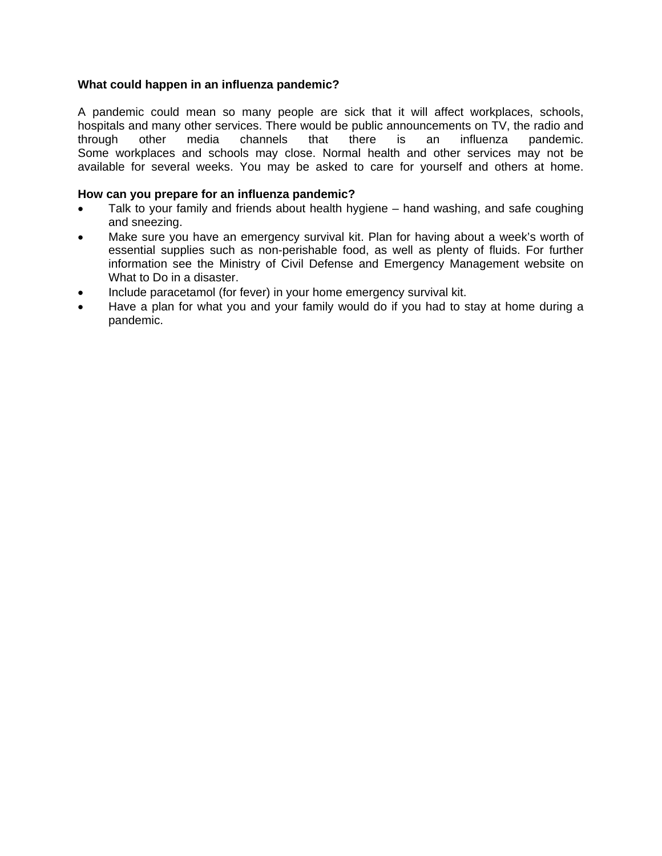# **What could happen in an influenza pandemic?**

A pandemic could mean so many people are sick that it will affect workplaces, schools, hospitals and many other services. There would be public announcements on TV, the radio and through other media channels that there is an influenza pandemic. Some workplaces and schools may close. Normal health and other services may not be available for several weeks. You may be asked to care for yourself and others at home.

# **How can you prepare for an influenza pandemic?**

- Talk to your family and friends about health hygiene hand washing, and safe coughing and sneezing.
- Make sure you have an emergency survival kit. Plan for having about a week's worth of essential supplies such as non-perishable food, as well as plenty of fluids. For further information see the Ministry of Civil Defense and Emergency Management website on What to Do in a disaster.
- Include paracetamol (for fever) in your home emergency survival kit.
- Have a plan for what you and your family would do if you had to stay at home during a pandemic.